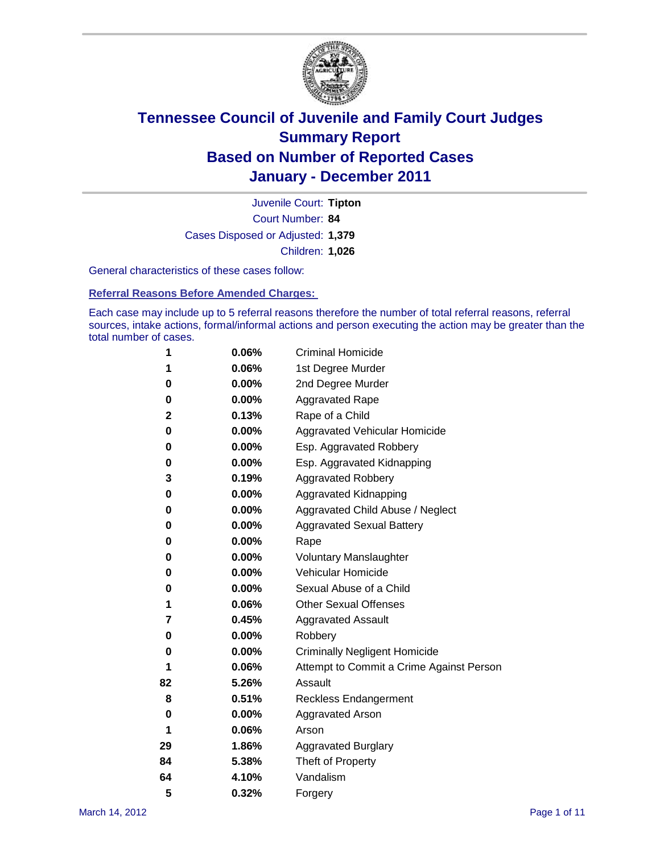

Court Number: **84** Juvenile Court: **Tipton** Cases Disposed or Adjusted: **1,379** Children: **1,026**

General characteristics of these cases follow:

**Referral Reasons Before Amended Charges:** 

Each case may include up to 5 referral reasons therefore the number of total referral reasons, referral sources, intake actions, formal/informal actions and person executing the action may be greater than the total number of cases.

| 1  | 0.06% | <b>Criminal Homicide</b>                 |  |  |
|----|-------|------------------------------------------|--|--|
| 1  | 0.06% | 1st Degree Murder                        |  |  |
| 0  | 0.00% | 2nd Degree Murder                        |  |  |
| 0  | 0.00% | <b>Aggravated Rape</b>                   |  |  |
| 2  | 0.13% | Rape of a Child                          |  |  |
| 0  | 0.00% | Aggravated Vehicular Homicide            |  |  |
| 0  | 0.00% | Esp. Aggravated Robbery                  |  |  |
| 0  | 0.00% | Esp. Aggravated Kidnapping               |  |  |
| 3  | 0.19% | <b>Aggravated Robbery</b>                |  |  |
| 0  | 0.00% | Aggravated Kidnapping                    |  |  |
| 0  | 0.00% | Aggravated Child Abuse / Neglect         |  |  |
| 0  | 0.00% | <b>Aggravated Sexual Battery</b>         |  |  |
| 0  | 0.00% | Rape                                     |  |  |
| 0  | 0.00% | <b>Voluntary Manslaughter</b>            |  |  |
| 0  | 0.00% | Vehicular Homicide                       |  |  |
| 0  | 0.00% | Sexual Abuse of a Child                  |  |  |
| 1  | 0.06% | <b>Other Sexual Offenses</b>             |  |  |
| 7  | 0.45% | <b>Aggravated Assault</b>                |  |  |
| 0  | 0.00% | Robbery                                  |  |  |
| 0  | 0.00% | <b>Criminally Negligent Homicide</b>     |  |  |
| 1  | 0.06% | Attempt to Commit a Crime Against Person |  |  |
| 82 | 5.26% | Assault                                  |  |  |
| 8  | 0.51% | <b>Reckless Endangerment</b>             |  |  |
| 0  | 0.00% | <b>Aggravated Arson</b>                  |  |  |
| 1  | 0.06% | Arson                                    |  |  |
| 29 | 1.86% | <b>Aggravated Burglary</b>               |  |  |
| 84 | 5.38% | Theft of Property                        |  |  |
| 64 | 4.10% | Vandalism                                |  |  |
| 5  | 0.32% | Forgery                                  |  |  |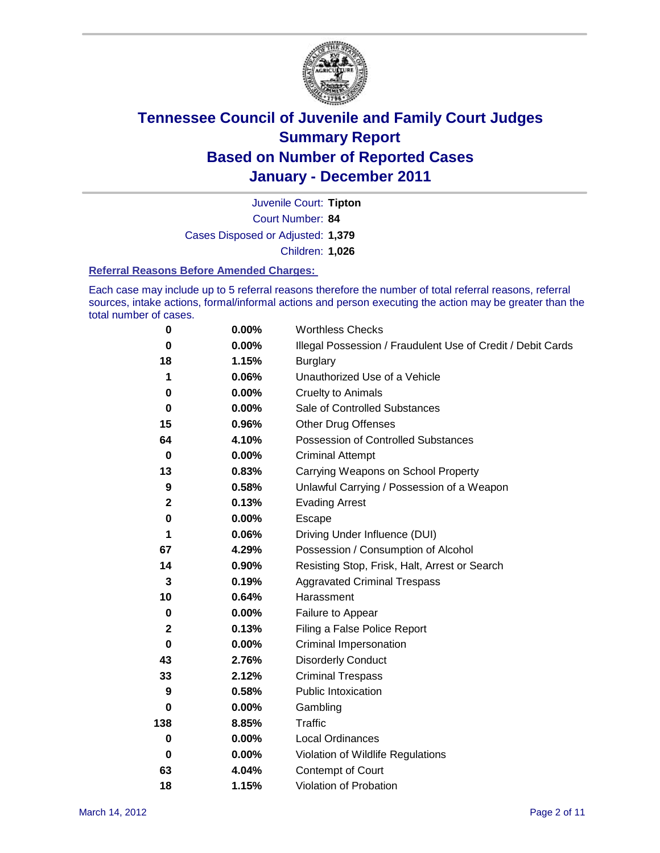

Court Number: **84** Juvenile Court: **Tipton** Cases Disposed or Adjusted: **1,379** Children: **1,026**

#### **Referral Reasons Before Amended Charges:**

Each case may include up to 5 referral reasons therefore the number of total referral reasons, referral sources, intake actions, formal/informal actions and person executing the action may be greater than the total number of cases.

| $\pmb{0}$    | 0.00%    | <b>Worthless Checks</b>                                     |
|--------------|----------|-------------------------------------------------------------|
| 0            | $0.00\%$ | Illegal Possession / Fraudulent Use of Credit / Debit Cards |
| 18           | 1.15%    | <b>Burglary</b>                                             |
| 1            | 0.06%    | Unauthorized Use of a Vehicle                               |
| 0            | $0.00\%$ | <b>Cruelty to Animals</b>                                   |
| $\bf{0}$     | $0.00\%$ | Sale of Controlled Substances                               |
| 15           | 0.96%    | <b>Other Drug Offenses</b>                                  |
| 64           | 4.10%    | Possession of Controlled Substances                         |
| $\bf{0}$     | $0.00\%$ | <b>Criminal Attempt</b>                                     |
| 13           | 0.83%    | Carrying Weapons on School Property                         |
| 9            | 0.58%    | Unlawful Carrying / Possession of a Weapon                  |
| $\mathbf{2}$ | 0.13%    | <b>Evading Arrest</b>                                       |
| 0            | 0.00%    | Escape                                                      |
| 1            | 0.06%    | Driving Under Influence (DUI)                               |
| 67           | 4.29%    | Possession / Consumption of Alcohol                         |
| 14           | 0.90%    | Resisting Stop, Frisk, Halt, Arrest or Search               |
| 3            | 0.19%    | <b>Aggravated Criminal Trespass</b>                         |
| 10           | 0.64%    | Harassment                                                  |
| $\bf{0}$     | 0.00%    | Failure to Appear                                           |
| $\mathbf 2$  | 0.13%    | Filing a False Police Report                                |
| $\bf{0}$     | 0.00%    | Criminal Impersonation                                      |
| 43           | 2.76%    | <b>Disorderly Conduct</b>                                   |
| 33           | 2.12%    | <b>Criminal Trespass</b>                                    |
| 9            | 0.58%    | <b>Public Intoxication</b>                                  |
| 0            | $0.00\%$ | Gambling                                                    |
| 138          | 8.85%    | <b>Traffic</b>                                              |
| 0            | $0.00\%$ | Local Ordinances                                            |
| $\mathbf 0$  | $0.00\%$ | Violation of Wildlife Regulations                           |
| 63           | 4.04%    | Contempt of Court                                           |
| 18           | 1.15%    | Violation of Probation                                      |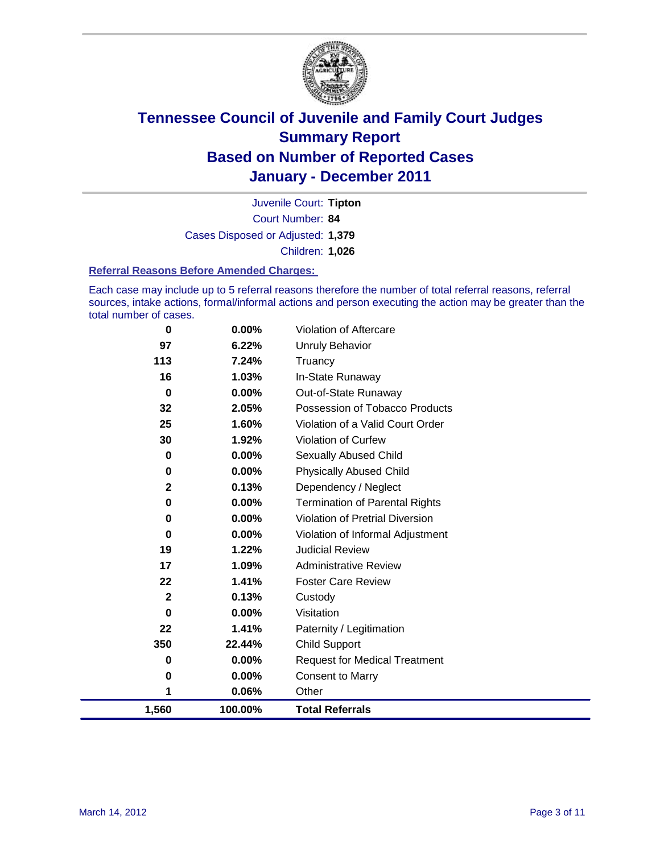

Court Number: **84** Juvenile Court: **Tipton** Cases Disposed or Adjusted: **1,379** Children: **1,026**

#### **Referral Reasons Before Amended Charges:**

Each case may include up to 5 referral reasons therefore the number of total referral reasons, referral sources, intake actions, formal/informal actions and person executing the action may be greater than the total number of cases.

| 0            | 0.00%    | Violation of Aftercare                 |
|--------------|----------|----------------------------------------|
| 97           | 6.22%    | <b>Unruly Behavior</b>                 |
| 113          | 7.24%    | Truancy                                |
| 16           | 1.03%    | In-State Runaway                       |
| 0            | $0.00\%$ | Out-of-State Runaway                   |
| 32           | 2.05%    | Possession of Tobacco Products         |
| 25           | 1.60%    | Violation of a Valid Court Order       |
| 30           | 1.92%    | Violation of Curfew                    |
| $\bf{0}$     | $0.00\%$ | Sexually Abused Child                  |
| 0            | 0.00%    | <b>Physically Abused Child</b>         |
| $\mathbf{2}$ | 0.13%    | Dependency / Neglect                   |
| 0            | 0.00%    | <b>Termination of Parental Rights</b>  |
| 0            | 0.00%    | <b>Violation of Pretrial Diversion</b> |
| 0            | 0.00%    | Violation of Informal Adjustment       |
| 19           | 1.22%    | <b>Judicial Review</b>                 |
| 17           | 1.09%    | <b>Administrative Review</b>           |
| 22           | 1.41%    | <b>Foster Care Review</b>              |
| $\mathbf{2}$ | 0.13%    | Custody                                |
| 0            | 0.00%    | Visitation                             |
| 22           | 1.41%    | Paternity / Legitimation               |
| 350          | 22.44%   | <b>Child Support</b>                   |
| 0            | 0.00%    | <b>Request for Medical Treatment</b>   |
| 0            | 0.00%    | <b>Consent to Marry</b>                |
| 1            | 0.06%    | Other                                  |
| 1,560        | 100.00%  | <b>Total Referrals</b>                 |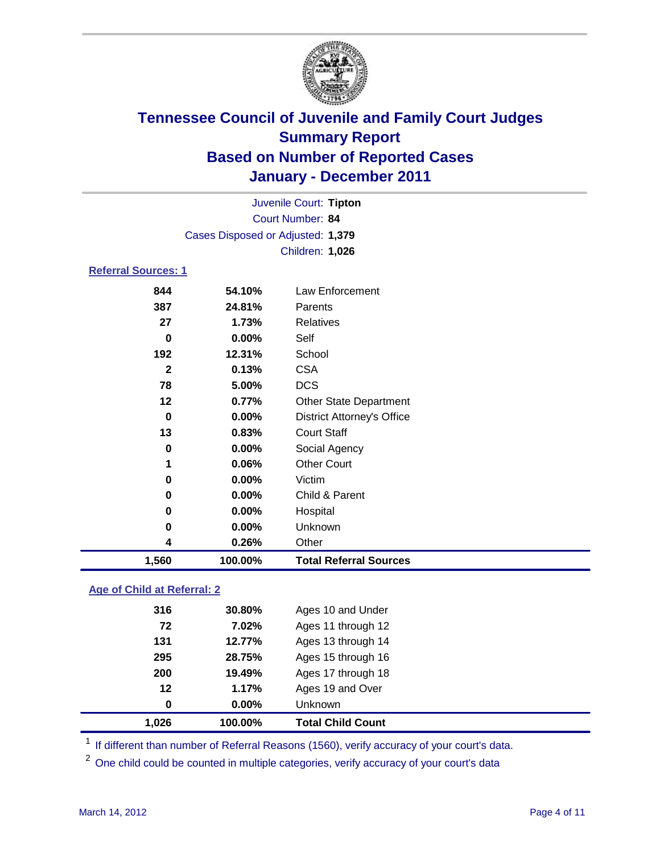

| 1,560                      | 100.00%                           | <b>Total Referral Sources</b>     |  |  |  |
|----------------------------|-----------------------------------|-----------------------------------|--|--|--|
| 4                          | 0.26%                             | Other                             |  |  |  |
| 0                          | $0.00\%$                          | Unknown                           |  |  |  |
| 0                          | $0.00\%$                          | Hospital                          |  |  |  |
| 0                          | $0.00\%$                          | Child & Parent                    |  |  |  |
| 0                          | $0.00\%$                          | Victim                            |  |  |  |
| 1                          | 0.06%                             | <b>Other Court</b>                |  |  |  |
| 0                          | $0.00\%$                          | Social Agency                     |  |  |  |
| 13                         | 0.83%                             | <b>Court Staff</b>                |  |  |  |
| 0                          | $0.00\%$                          | <b>District Attorney's Office</b> |  |  |  |
| 12                         | 0.77%                             | <b>Other State Department</b>     |  |  |  |
| 78                         | 5.00%                             | <b>DCS</b>                        |  |  |  |
| $\mathbf{2}$               | 0.13%                             | <b>CSA</b>                        |  |  |  |
| 192                        | 12.31%                            | School                            |  |  |  |
| 0                          | 0.00%                             | Self                              |  |  |  |
| 27                         | 1.73%                             | Relatives                         |  |  |  |
| 387                        | 24.81%                            | Parents                           |  |  |  |
| 844                        | 54.10%                            | <b>Law Enforcement</b>            |  |  |  |
| <b>Referral Sources: 1</b> |                                   |                                   |  |  |  |
|                            | Children: 1,026                   |                                   |  |  |  |
|                            | Cases Disposed or Adjusted: 1,379 |                                   |  |  |  |
|                            | Court Number: 84                  |                                   |  |  |  |
|                            | Juvenile Court: Tipton            |                                   |  |  |  |

### **Age of Child at Referral: 2**

| 1,026 | 100.00% | <b>Total Child Count</b> |
|-------|---------|--------------------------|
| 0     | 0.00%   | <b>Unknown</b>           |
| 12    | 1.17%   | Ages 19 and Over         |
| 200   | 19.49%  | Ages 17 through 18       |
| 295   | 28.75%  | Ages 15 through 16       |
| 131   | 12.77%  | Ages 13 through 14       |
| 72    | 7.02%   | Ages 11 through 12       |
| 316   | 30.80%  | Ages 10 and Under        |
|       |         |                          |

<sup>1</sup> If different than number of Referral Reasons (1560), verify accuracy of your court's data.

<sup>2</sup> One child could be counted in multiple categories, verify accuracy of your court's data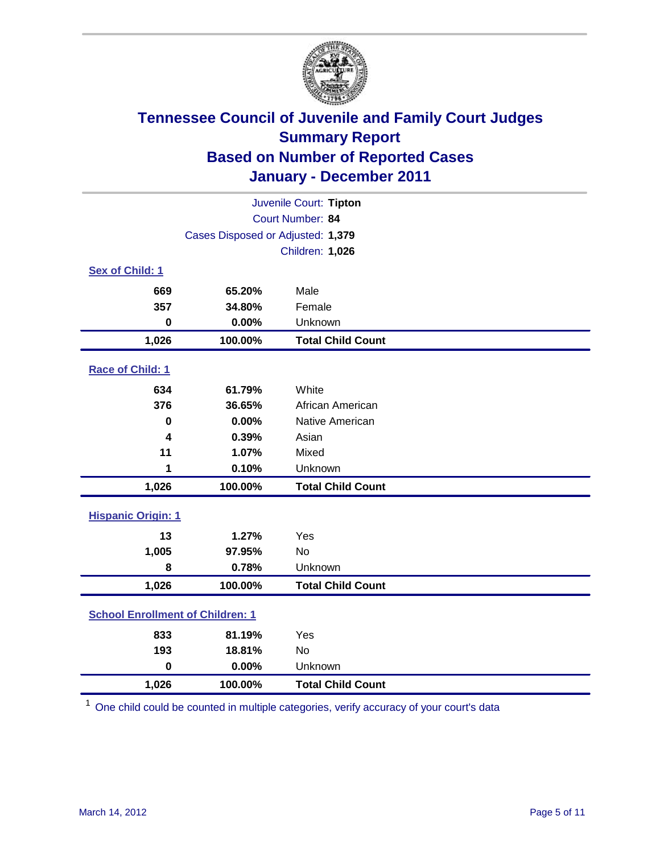

| Juvenile Court: Tipton                  |                                   |                          |  |  |
|-----------------------------------------|-----------------------------------|--------------------------|--|--|
|                                         | Court Number: 84                  |                          |  |  |
|                                         | Cases Disposed or Adjusted: 1,379 |                          |  |  |
|                                         |                                   | Children: 1,026          |  |  |
| Sex of Child: 1                         |                                   |                          |  |  |
| 669                                     | 65.20%                            | Male                     |  |  |
| 357                                     | 34.80%                            | Female                   |  |  |
| $\mathbf 0$                             | 0.00%                             | Unknown                  |  |  |
| 1,026                                   | 100.00%                           | <b>Total Child Count</b> |  |  |
| Race of Child: 1                        |                                   |                          |  |  |
| 634                                     | 61.79%                            | White                    |  |  |
| 376                                     | 36.65%                            | African American         |  |  |
| $\mathbf 0$                             | 0.00%                             | Native American          |  |  |
| 4                                       | 0.39%                             | Asian                    |  |  |
| 11                                      | 1.07%                             | Mixed                    |  |  |
| 1                                       | 0.10%                             | Unknown                  |  |  |
| 1,026                                   | 100.00%                           | <b>Total Child Count</b> |  |  |
| <b>Hispanic Origin: 1</b>               |                                   |                          |  |  |
| 13                                      | 1.27%                             | Yes                      |  |  |
| 1,005                                   | 97.95%                            | <b>No</b>                |  |  |
| 8                                       | 0.78%                             | Unknown                  |  |  |
| 1,026                                   | 100.00%                           | <b>Total Child Count</b> |  |  |
| <b>School Enrollment of Children: 1</b> |                                   |                          |  |  |
| 833                                     | 81.19%                            | Yes                      |  |  |
| 193                                     | 18.81%                            | <b>No</b>                |  |  |
| $\mathbf 0$                             | 0.00%                             | Unknown                  |  |  |
| 1,026                                   | 100.00%                           | <b>Total Child Count</b> |  |  |

<sup>1</sup> One child could be counted in multiple categories, verify accuracy of your court's data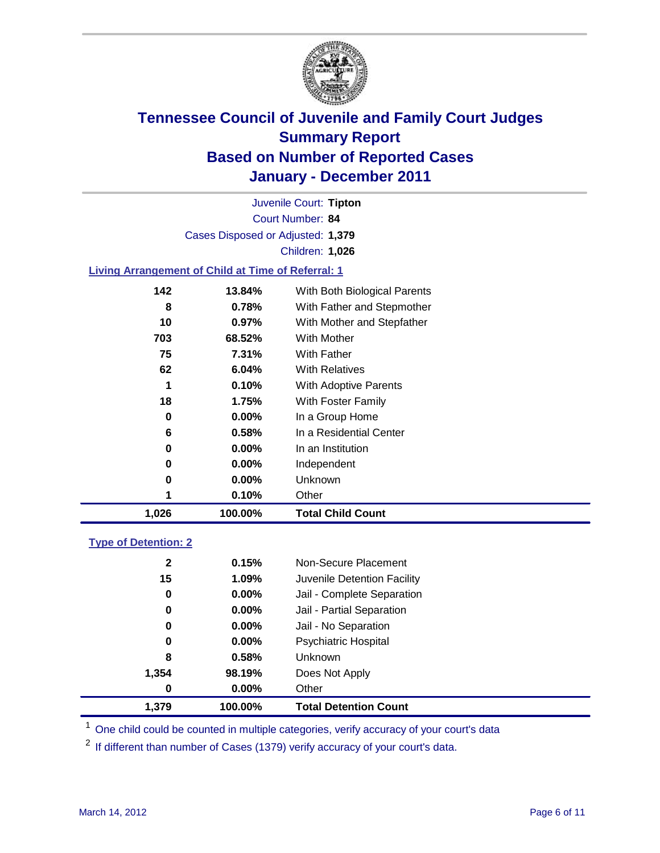

Court Number: **84** Juvenile Court: **Tipton** Cases Disposed or Adjusted: **1,379** Children: **1,026**

### **Living Arrangement of Child at Time of Referral: 1**

| 1,026 | 100.00%  | <b>Total Child Count</b>     |
|-------|----------|------------------------------|
|       | 0.10%    | Other                        |
| 0     | $0.00\%$ | Unknown                      |
| 0     | $0.00\%$ | Independent                  |
| 0     | $0.00\%$ | In an Institution            |
| 6     | 0.58%    | In a Residential Center      |
| 0     | $0.00\%$ | In a Group Home              |
| 18    | 1.75%    | With Foster Family           |
| 1     | 0.10%    | With Adoptive Parents        |
| 62    | 6.04%    | <b>With Relatives</b>        |
| 75    | 7.31%    | With Father                  |
| 703   | 68.52%   | <b>With Mother</b>           |
| 10    | 0.97%    | With Mother and Stepfather   |
| 8     | 0.78%    | With Father and Stepmother   |
| 142   | 13.84%   | With Both Biological Parents |
|       |          |                              |

### **Type of Detention: 2**

| 1.379            | 100.00%  | <b>Total Detention Count</b> |  |
|------------------|----------|------------------------------|--|
| $\boldsymbol{0}$ | $0.00\%$ | Other                        |  |
| 1,354            | 98.19%   | Does Not Apply               |  |
| 8                | 0.58%    | <b>Unknown</b>               |  |
| 0                | $0.00\%$ | <b>Psychiatric Hospital</b>  |  |
| 0                | 0.00%    | Jail - No Separation         |  |
| 0                | $0.00\%$ | Jail - Partial Separation    |  |
| 0                | $0.00\%$ | Jail - Complete Separation   |  |
| 15               | 1.09%    | Juvenile Detention Facility  |  |
| $\mathbf{2}$     | 0.15%    | Non-Secure Placement         |  |
|                  |          |                              |  |

<sup>1</sup> One child could be counted in multiple categories, verify accuracy of your court's data

<sup>2</sup> If different than number of Cases (1379) verify accuracy of your court's data.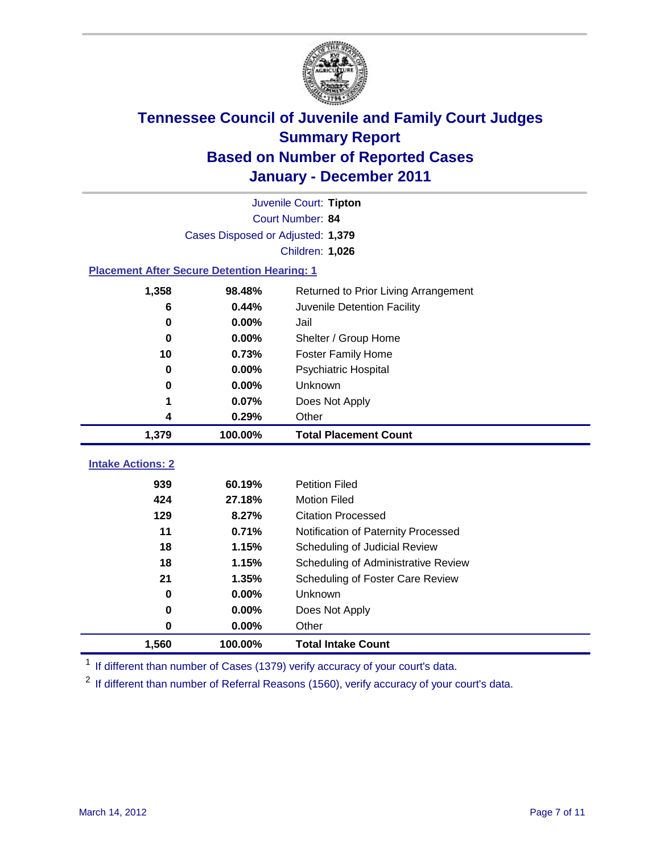

|                                                    | Juvenile Court: Tipton                         |                                     |  |  |  |
|----------------------------------------------------|------------------------------------------------|-------------------------------------|--|--|--|
|                                                    | Court Number: 84                               |                                     |  |  |  |
|                                                    | Cases Disposed or Adjusted: 1,379              |                                     |  |  |  |
|                                                    |                                                | Children: 1,026                     |  |  |  |
| <b>Placement After Secure Detention Hearing: 1</b> |                                                |                                     |  |  |  |
| 1,358                                              | 98.48%<br>Returned to Prior Living Arrangement |                                     |  |  |  |
| 6                                                  | 0.44%                                          | Juvenile Detention Facility         |  |  |  |
| 0                                                  | 0.00%                                          | Jail                                |  |  |  |
| 0                                                  | 0.00%                                          | Shelter / Group Home                |  |  |  |
| 10                                                 | 0.73%                                          | <b>Foster Family Home</b>           |  |  |  |
| 0                                                  | 0.00%                                          | Psychiatric Hospital                |  |  |  |
| 0                                                  | 0.00%                                          | Unknown                             |  |  |  |
| 1                                                  | 0.07%                                          | Does Not Apply                      |  |  |  |
| 4                                                  | 0.29%                                          | Other                               |  |  |  |
| 1,379                                              | 100.00%                                        | <b>Total Placement Count</b>        |  |  |  |
|                                                    |                                                |                                     |  |  |  |
| <b>Intake Actions: 2</b>                           |                                                |                                     |  |  |  |
| 939                                                | 60.19%                                         | <b>Petition Filed</b>               |  |  |  |
| 424                                                | 27.18%                                         | <b>Motion Filed</b>                 |  |  |  |
| 129                                                | 8.27%                                          | <b>Citation Processed</b>           |  |  |  |
| 11                                                 | 0.71%                                          | Notification of Paternity Processed |  |  |  |
| 18                                                 | 1.15%                                          | Scheduling of Judicial Review       |  |  |  |
| 18                                                 | 1.15%                                          | Scheduling of Administrative Review |  |  |  |
| 21                                                 | 1.35%                                          | Scheduling of Foster Care Review    |  |  |  |
| $\bf{0}$                                           | 0.00%                                          | Unknown                             |  |  |  |
| 0                                                  | 0.00%                                          | Does Not Apply                      |  |  |  |
| 0                                                  | 0.00%                                          | Other                               |  |  |  |
| 1,560                                              | 100.00%                                        | <b>Total Intake Count</b>           |  |  |  |

<sup>1</sup> If different than number of Cases (1379) verify accuracy of your court's data.

<sup>2</sup> If different than number of Referral Reasons (1560), verify accuracy of your court's data.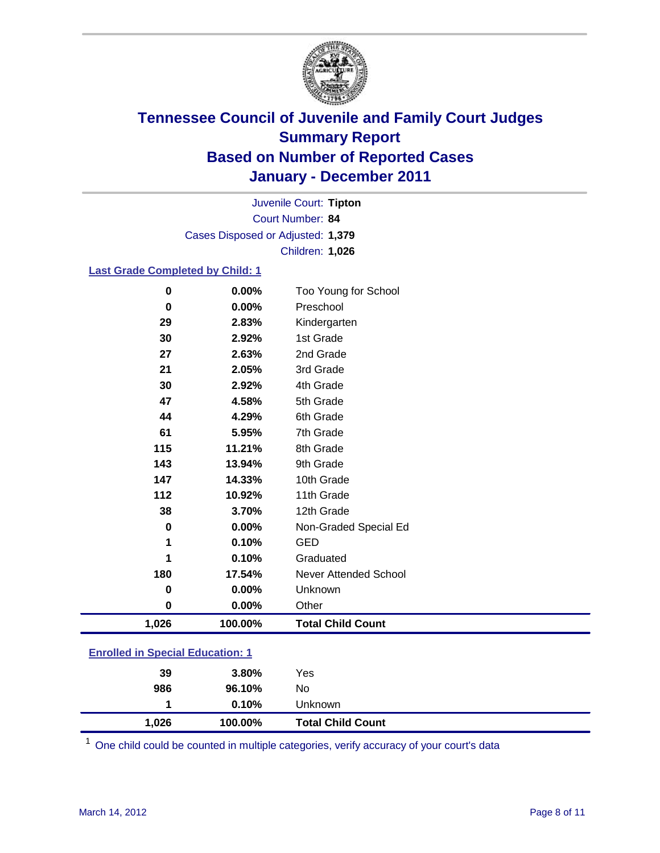

Court Number: **84** Juvenile Court: **Tipton** Cases Disposed or Adjusted: **1,379** Children: **1,026**

#### **Last Grade Completed by Child: 1**

| 1,026    | 100.00%        | <b>Total Child Count</b>  |
|----------|----------------|---------------------------|
| $\bf{0}$ | 0.00%          | Other                     |
| 0        | 0.00%          | Unknown                   |
| 180      | 17.54%         | Never Attended School     |
| 1        | 0.10%          | Graduated                 |
| 1        | 0.10%          | <b>GED</b>                |
| $\bf{0}$ | 0.00%          | Non-Graded Special Ed     |
| 38       | 3.70%          | 12th Grade                |
| 112      | 10.92%         | 11th Grade                |
| 147      | 14.33%         | 10th Grade                |
| 143      | 13.94%         | 9th Grade                 |
| 115      | 11.21%         | 8th Grade                 |
| 61       | 5.95%          | 7th Grade                 |
| 44       | 4.29%          | 6th Grade                 |
| 47       | 4.58%          | 5th Grade                 |
| 30       | 2.92%          | 4th Grade                 |
| 21       | 2.05%          | 3rd Grade                 |
| 27       | 2.63%          | 2nd Grade                 |
| 29<br>30 | 2.83%<br>2.92% | Kindergarten<br>1st Grade |
| 0        | 0.00%          | Preschool                 |
| 0        | 0.00%          | Too Young for School      |

| 1.026                                   | 100.00%  | <b>Total Child Count</b> |  |  |
|-----------------------------------------|----------|--------------------------|--|--|
|                                         | $0.10\%$ | Unknown                  |  |  |
| 986                                     | 96.10%   | No.                      |  |  |
| 39                                      | 3.80%    | Yes                      |  |  |
| <b>Enrolled in Special Education: 1</b> |          |                          |  |  |

One child could be counted in multiple categories, verify accuracy of your court's data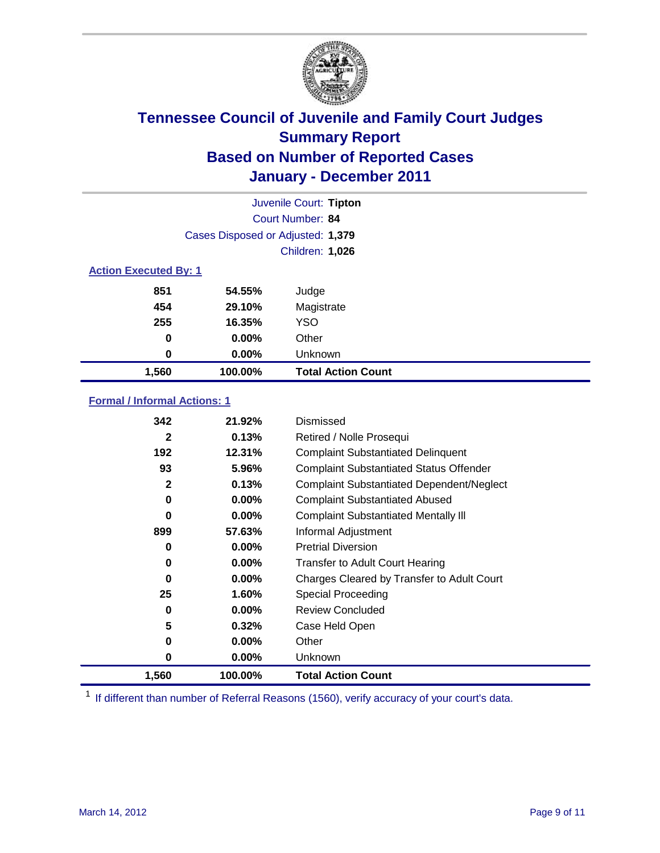

|                              | Juvenile Court: Tipton            |                           |  |  |  |
|------------------------------|-----------------------------------|---------------------------|--|--|--|
|                              | <b>Court Number: 84</b>           |                           |  |  |  |
|                              | Cases Disposed or Adjusted: 1,379 |                           |  |  |  |
|                              | Children: 1,026                   |                           |  |  |  |
| <b>Action Executed By: 1</b> |                                   |                           |  |  |  |
| 851                          | 54.55%                            | Judge                     |  |  |  |
| 454                          | 29.10%                            | Magistrate                |  |  |  |
| 255                          | 16.35%                            | <b>YSO</b>                |  |  |  |
| 0                            | $0.00\%$                          | Other                     |  |  |  |
| 0                            | 0.00%                             | Unknown                   |  |  |  |
| 1,560                        | 100.00%                           | <b>Total Action Count</b> |  |  |  |

### **Formal / Informal Actions: 1**

| 342          | 21.92%   | Dismissed                                        |
|--------------|----------|--------------------------------------------------|
| $\mathbf{2}$ | 0.13%    | Retired / Nolle Prosequi                         |
| 192          | 12.31%   | <b>Complaint Substantiated Delinquent</b>        |
| 93           | 5.96%    | <b>Complaint Substantiated Status Offender</b>   |
| $\mathbf{2}$ | 0.13%    | <b>Complaint Substantiated Dependent/Neglect</b> |
| 0            | 0.00%    | <b>Complaint Substantiated Abused</b>            |
| $\bf{0}$     | $0.00\%$ | <b>Complaint Substantiated Mentally III</b>      |
| 899          | 57.63%   | Informal Adjustment                              |
| 0            | $0.00\%$ | <b>Pretrial Diversion</b>                        |
| 0            | $0.00\%$ | <b>Transfer to Adult Court Hearing</b>           |
| 0            | 0.00%    | Charges Cleared by Transfer to Adult Court       |
| 25           | 1.60%    | <b>Special Proceeding</b>                        |
| 0            | $0.00\%$ | <b>Review Concluded</b>                          |
| 5            | 0.32%    | Case Held Open                                   |
| 0            | $0.00\%$ | Other                                            |
| 0            | $0.00\%$ | <b>Unknown</b>                                   |
| 1,560        | 100.00%  | <b>Total Action Count</b>                        |

<sup>1</sup> If different than number of Referral Reasons (1560), verify accuracy of your court's data.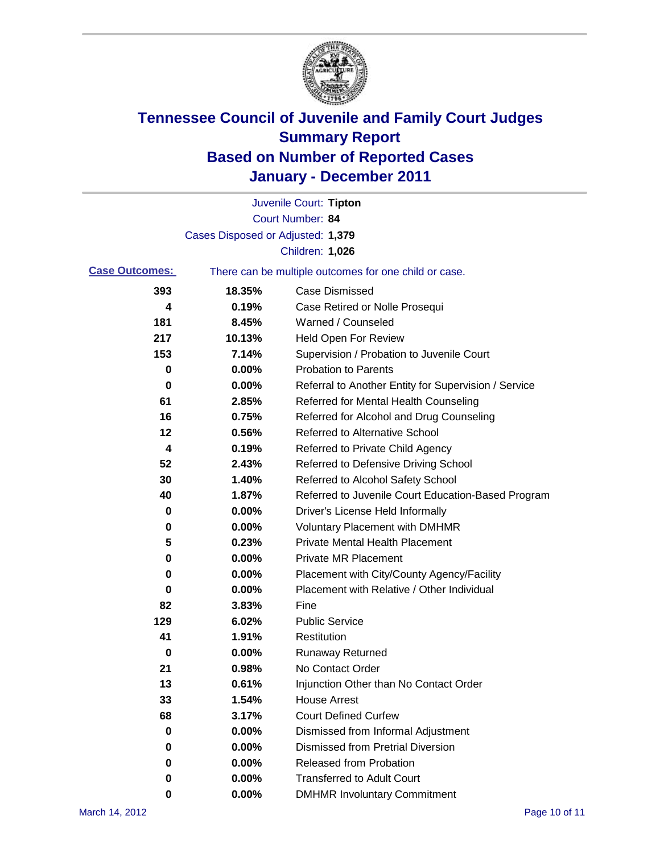

|                       |                                   | Juvenile Court: Tipton                                |
|-----------------------|-----------------------------------|-------------------------------------------------------|
|                       |                                   | Court Number: 84                                      |
|                       | Cases Disposed or Adjusted: 1,379 |                                                       |
|                       |                                   | Children: 1,026                                       |
| <b>Case Outcomes:</b> |                                   | There can be multiple outcomes for one child or case. |
| 393                   | 18.35%                            | <b>Case Dismissed</b>                                 |
| 4                     | 0.19%                             | Case Retired or Nolle Prosequi                        |
| 181                   | 8.45%                             | Warned / Counseled                                    |
| 217                   | 10.13%                            | <b>Held Open For Review</b>                           |
| 153                   | 7.14%                             | Supervision / Probation to Juvenile Court             |
| 0                     | 0.00%                             | <b>Probation to Parents</b>                           |
| 0                     | 0.00%                             | Referral to Another Entity for Supervision / Service  |
| 61                    | 2.85%                             | Referred for Mental Health Counseling                 |
| 16                    | 0.75%                             | Referred for Alcohol and Drug Counseling              |
| 12                    | 0.56%                             | Referred to Alternative School                        |
| 4                     | 0.19%                             | Referred to Private Child Agency                      |
| 52                    | 2.43%                             | Referred to Defensive Driving School                  |
| 30                    | 1.40%                             | Referred to Alcohol Safety School                     |
| 40                    | 1.87%                             | Referred to Juvenile Court Education-Based Program    |
| 0                     | 0.00%                             | Driver's License Held Informally                      |
| 0                     | 0.00%                             | <b>Voluntary Placement with DMHMR</b>                 |
| 5                     | 0.23%                             | <b>Private Mental Health Placement</b>                |
| 0                     | 0.00%                             | <b>Private MR Placement</b>                           |
| 0                     | 0.00%                             | Placement with City/County Agency/Facility            |
| 0                     | 0.00%                             | Placement with Relative / Other Individual            |
| 82                    | 3.83%                             | Fine                                                  |
| 129                   | 6.02%                             | <b>Public Service</b>                                 |
| 41                    | 1.91%                             | Restitution                                           |
| 0                     | 0.00%                             | <b>Runaway Returned</b>                               |
| 21                    | 0.98%                             | No Contact Order                                      |
| 13                    | 0.61%                             | Injunction Other than No Contact Order                |
| 33                    | 1.54%                             | <b>House Arrest</b>                                   |
| 68                    | 3.17%                             | <b>Court Defined Curfew</b>                           |
| 0                     | 0.00%                             | Dismissed from Informal Adjustment                    |
| 0                     | 0.00%                             | <b>Dismissed from Pretrial Diversion</b>              |
| 0                     | 0.00%                             | Released from Probation                               |
| 0                     | 0.00%                             | <b>Transferred to Adult Court</b>                     |
| 0                     | 0.00%                             | <b>DMHMR Involuntary Commitment</b>                   |